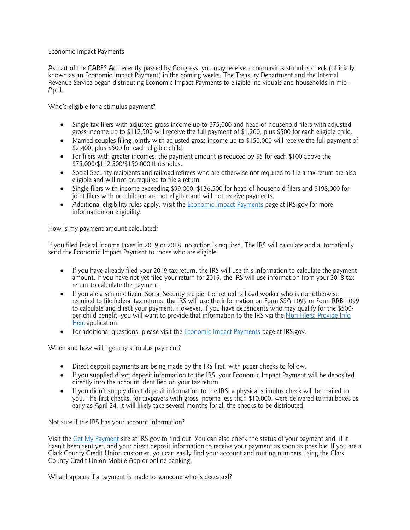## Economic Impact Payments

As part of the CARES Act recently passed by Congress, you may receive a coronavirus stimulus check (officially known as an Economic Impact Payment) in the coming weeks. The Treasury Department and the Internal Revenue Service began distributing Economic Impact Payments to eligible individuals and households in mid-<br>April.

Who's eligible for a stimulus payment?

- Single tax filers with adjusted gross income up to \$75,000 and head-of-household filers with adjusted gross income up to \$112,500 will receive the full payment of \$1,200, plus \$500 for each eligible child.
- Married couples filing jointly with adjusted gross income up to \$150,000 will receive the full payment of \$2,400, plus \$500 for each eligible child.
- For filers with greater incomes, the payment amount is reduced by \$5 for each \$100 above the \$75,000/\$112,500/\$150,000 thresholds.
- Social Security recipients and railroad retirees who are otherwise not required to file a tax return are also eligible and will not be required to file a return.
- Single filers with income exceeding \$99,000, \$136,500 for head-of-household filers and \$198,000 for joint filers with no children are not eligible and will not receive payments.
- Additional eligibility rules apply. Visit the Economic Impact Payments page at IRS gov for more information on eligibility.

How is my payment amount calculated?

If you filed federal income taxes in 2019 or 2018, no action is required. The IRS will calculate and automatically send the Economic Impact Payment to those who are eligible.

- If you have already filed your 2019 tax return, the IRS will use this information to calculate the payment amount. If you have not yet filed your return for 2019, the IRS will use information from your 2018 tax return to calculate the payment.
- If you are a senior citizen, Social Security recipient or retired railroad worker who is not otherwise required to file federal tax returns, the IRS will use the information on Form SSA-1099 or Form RRB-1099 to calculate and direct your payment. However, if you have dependents who may qualify for the \$500per-child benefit, you will want to provide that information to the IRS via the Non-Filers: Provide Information to the IRS via the Non-Filers: Provide Information to that information to the IRS via the Non-Filers: Provide Here application.
- For additional questions, please visit the Economic Impact Payments page at IRS.gov.

When and how will I get my stimulus payment?

- Direct deposit payments are being made by the IRS first, with paper checks to follow.
- If you supplied direct deposit information to the IRS, your Economic Impact Payment will be deposited directly into the account identified on your tax return.
- If you didn't supply direct deposit information to the IRS, a physical stimulus check will be mailed to you. The first checks, for taxpayers with gross income less than \$10,000, were delivered to mailboxes as early as April 24. It will likely take several months for all the checks to be distributed.

Not sure if the IRS has your account information?

Visit the Get My Payment site at IRS.gov to find out. You can also check the status of your payment and, if it hasn't been sent yet, add your direct deposit information to receive your payment as soon as possible. If you are a Clark County Credit Union customer, you can easily find your account and routing numbers using the Clark County Credit Union Mobile App or online banking.

What happens if a payment is made to someone who is deceased?